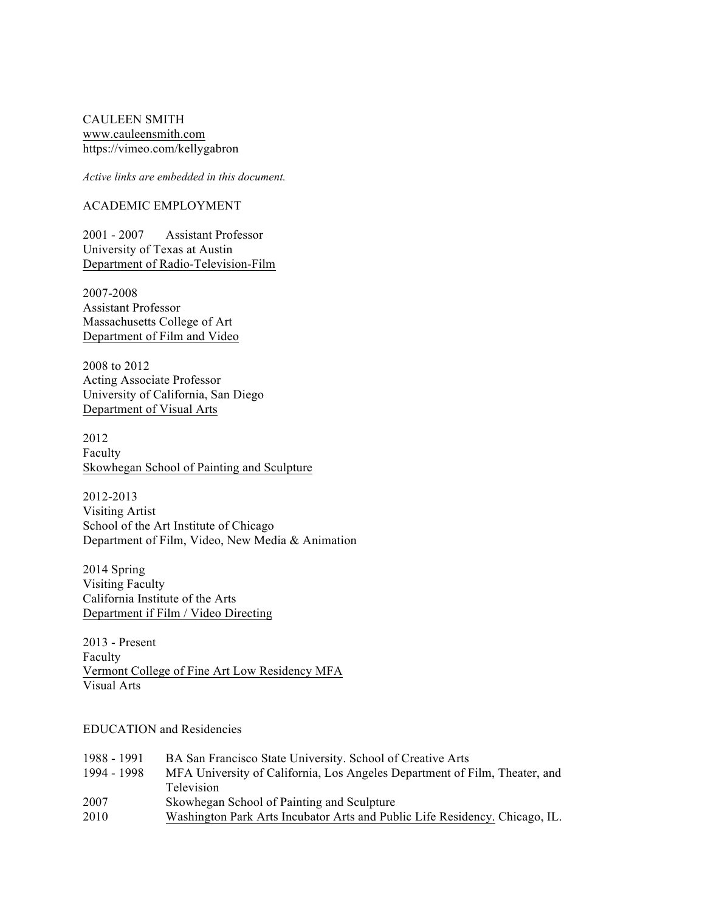CAULEEN SMITH www.cauleensmith.com https://vimeo.com/kellygabron

*Active links are embedded in this document.*

### ACADEMIC EMPLOYMENT

2001 - 2007 Assistant Professor University of Texas at Austin Department of Radio-Television-Film

2007-2008 Assistant Professor Massachusetts College of Art Department of Film and Video

2008 to 2012 Acting Associate Professor University of California, San Diego Department of Visual Arts

2012 Faculty Skowhegan School of Painting and Sculpture

2012-2013 Visiting Artist School of the Art Institute of Chicago Department of Film, Video, New Media & Animation

2014 Spring Visiting Faculty California Institute of the Arts Department if Film / Video Directing

2013 - Present Faculty Vermont College of Fine Art Low Residency MFA Visual Arts

## EDUCATION and Residencies

| 1988 - 1991 | BA San Francisco State University. School of Creative Arts                  |
|-------------|-----------------------------------------------------------------------------|
| 1994 - 1998 | MFA University of California, Los Angeles Department of Film, Theater, and  |
|             | <b>Television</b>                                                           |
| 2007        | Skowhegan School of Painting and Sculpture                                  |
| 2010        | Washington Park Arts Incubator Arts and Public Life Residency. Chicago, IL. |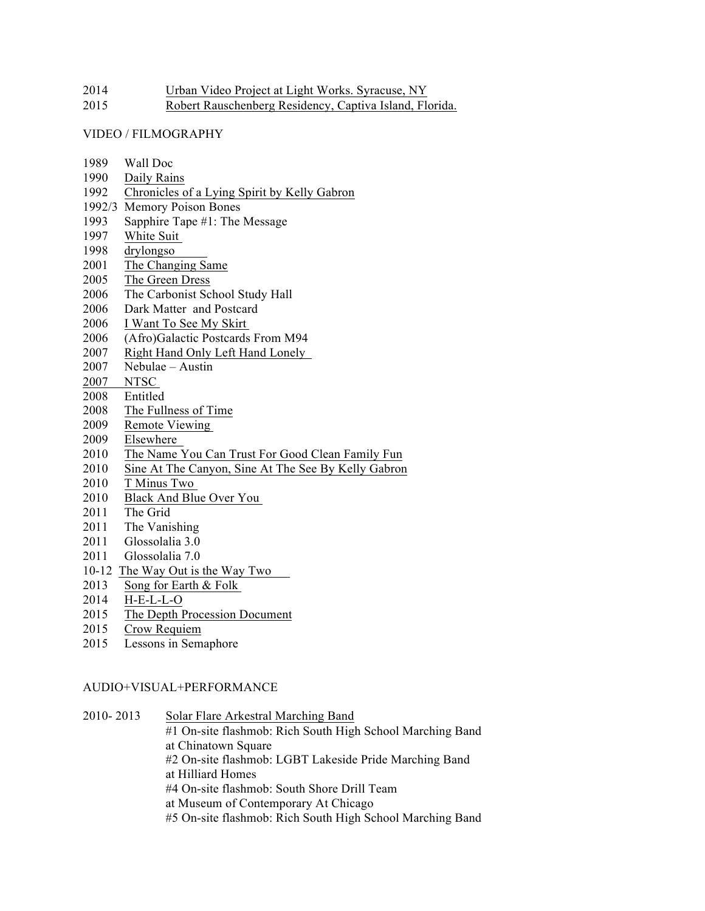| 2014 | Urban Video Project at Light Works. Syracuse, NY |  |  |  |
|------|--------------------------------------------------|--|--|--|
|      |                                                  |  |  |  |

Robert Rauschenberg Residency, Captiva Island, Florida.

### VIDEO / FILMOGRAPHY

- Wall Doc
- Daily Rains
- Chronicles of a Lying Spirit by Kelly Gabron
- 1992/3 Memory Poison Bones
- Sapphire Tape #1: The Message
- White Suit
- drylongso
- The Changing Same
- The Green Dress
- The Carbonist School Study Hall
- Dark Matter and Postcard
- I Want To See My Skirt
- (Afro)Galactic Postcards From M94
- Right Hand Only Left Hand Lonely
- Nebulae Austin
- NTSC
- Entitled
- The Fullness of Time
- Remote Viewing
- Elsewhere
- The Name You Can Trust For Good Clean Family Fun
- Sine At The Canyon, Sine At The See By Kelly Gabron
- T Minus Two
- Black And Blue Over You
- The Grid
- The Vanishing
- Glossolalia 3.0
- Glossolalia 7.0
- 10-12 The Way Out is the Way Two
- Song for Earth & Folk
- H-E-L-L-O
- The Depth Procession Document
- Crow Requiem
- Lessons in Semaphore

#### AUDIO+VISUAL+PERFORMANCE

2010- 2013 Solar Flare Arkestral Marching Band #1 On-site flashmob: Rich South High School Marching Band at Chinatown Square #2 On-site flashmob: LGBT Lakeside Pride Marching Band at Hilliard Homes #4 On-site flashmob: South Shore Drill Team at Museum of Contemporary At Chicago #5 On-site flashmob: Rich South High School Marching Band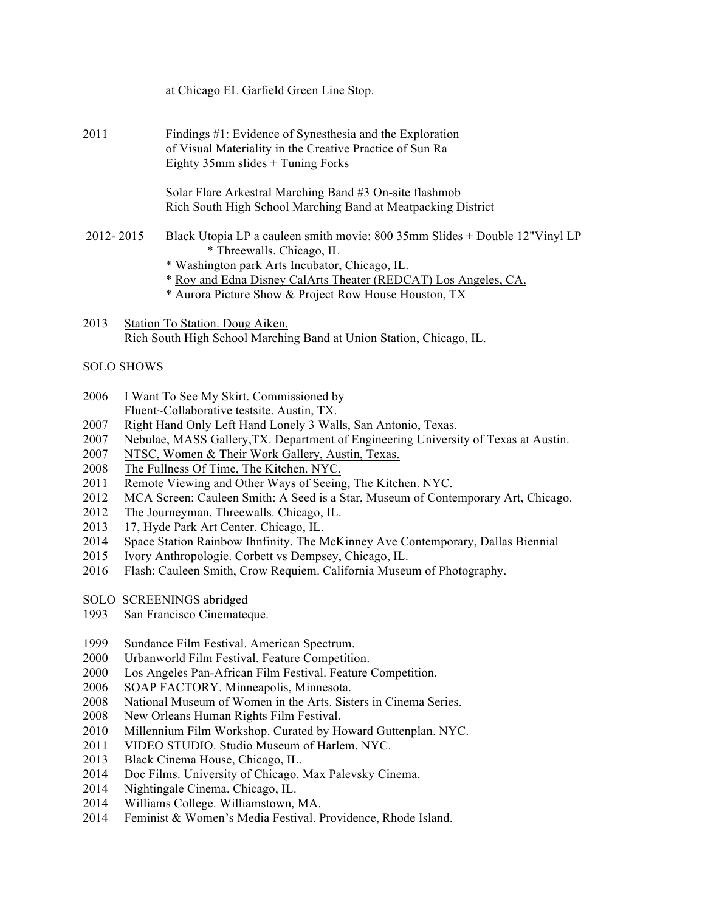|           | at Chicago EL Garfield Green Line Stop.                                                                                                                                                                                                                                                |
|-----------|----------------------------------------------------------------------------------------------------------------------------------------------------------------------------------------------------------------------------------------------------------------------------------------|
| 2011      | Findings #1: Evidence of Synesthesia and the Exploration<br>of Visual Materiality in the Creative Practice of Sun Ra<br>Eighty $35$ mm slides + Tuning Forks                                                                                                                           |
|           | Solar Flare Arkestral Marching Band #3 On-site flashmob<br>Rich South High School Marching Band at Meatpacking District                                                                                                                                                                |
| 2012-2015 | Black Utopia LP a cauleen smith movie: 800 35mm Slides + Double 12"Vinyl LP<br>* Threewalls. Chicago, IL<br>* Washington park Arts Incubator, Chicago, IL.<br>* Roy and Edna Disney CalArts Theater (REDCAT) Los Angeles, CA.<br>* Aurora Picture Show & Project Row House Houston, TX |
| 2013      | Station To Station. Doug Aiken.                                                                                                                                                                                                                                                        |

Rich South High School Marching Band at Union Station, Chicago, IL.

# SOLO SHOWS

- I Want To See My Skirt. Commissioned by Fluent~Collaborative testsite. Austin, TX.
- Right Hand Only Left Hand Lonely 3 Walls, San Antonio, Texas.
- Nebulae, MASS Gallery,TX. Department of Engineering University of Texas at Austin.
- NTSC, Women & Their Work Gallery, Austin, Texas.
- The Fullness Of Time, The Kitchen. NYC.
- Remote Viewing and Other Ways of Seeing, The Kitchen. NYC.
- MCA Screen: Cauleen Smith: A Seed is a Star, Museum of Contemporary Art, Chicago.
- The Journeyman. Threewalls. Chicago, IL.
- 17, Hyde Park Art Center. Chicago, IL.
- Space Station Rainbow Ihnfinity. The McKinney Ave Contemporary, Dallas Biennial
- Ivory Anthropologie. Corbett vs Dempsey, Chicago, IL.
- Flash: Cauleen Smith, Crow Requiem. California Museum of Photography.
- SOLO SCREENINGS abridged
- San Francisco Cinemateque.
- Sundance Film Festival. American Spectrum.
- Urbanworld Film Festival. Feature Competition.
- Los Angeles Pan-African Film Festival. Feature Competition.
- SOAP FACTORY. Minneapolis, Minnesota.
- National Museum of Women in the Arts. Sisters in Cinema Series.
- New Orleans Human Rights Film Festival.
- Millennium Film Workshop. Curated by Howard Guttenplan. NYC.
- VIDEO STUDIO. Studio Museum of Harlem. NYC.
- Black Cinema House, Chicago, IL.
- Doc Films. University of Chicago. Max Palevsky Cinema.
- Nightingale Cinema. Chicago, IL.
- Williams College. Williamstown, MA.
- Feminist & Women's Media Festival. Providence, Rhode Island.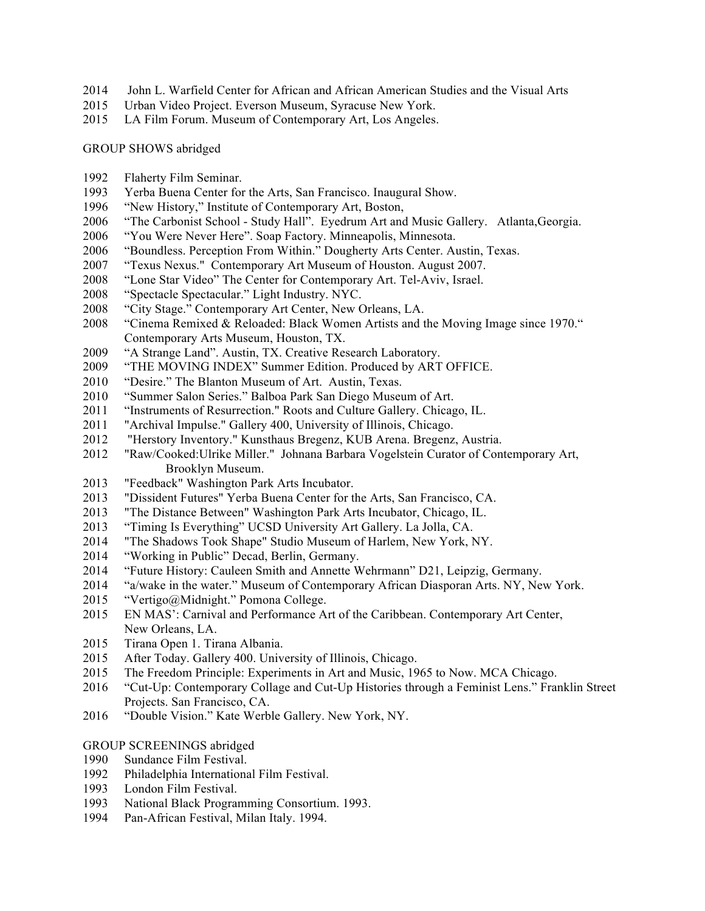- John L. Warfield Center for African and African American Studies and the Visual Arts
- Urban Video Project. Everson Museum, Syracuse New York.
- LA Film Forum. Museum of Contemporary Art, Los Angeles.

GROUP SHOWS abridged

- Flaherty Film Seminar.
- Yerba Buena Center for the Arts, San Francisco. Inaugural Show.
- "New History," Institute of Contemporary Art, Boston,
- "The Carbonist School Study Hall". Eyedrum Art and Music Gallery. Atlanta,Georgia.
- "You Were Never Here". Soap Factory. Minneapolis, Minnesota.
- "Boundless. Perception From Within." Dougherty Arts Center. Austin, Texas.
- "Texus Nexus." Contemporary Art Museum of Houston. August 2007.
- "Lone Star Video" The Center for Contemporary Art. Tel-Aviv, Israel.
- "Spectacle Spectacular." Light Industry. NYC.
- "City Stage." Contemporary Art Center, New Orleans, LA.
- "Cinema Remixed & Reloaded: Black Women Artists and the Moving Image since 1970." Contemporary Arts Museum, Houston, TX.
- "A Strange Land". Austin, TX. Creative Research Laboratory.
- "THE MOVING INDEX" Summer Edition. Produced by ART OFFICE.
- "Desire." The Blanton Museum of Art. Austin, Texas.
- "Summer Salon Series." Balboa Park San Diego Museum of Art.
- "Instruments of Resurrection." Roots and Culture Gallery. Chicago, IL.
- "Archival Impulse." Gallery 400, University of Illinois, Chicago.
- "Herstory Inventory." Kunsthaus Bregenz, KUB Arena. Bregenz, Austria.
- "Raw/Cooked:Ulrike Miller." Johnana Barbara Vogelstein Curator of Contemporary Art, Brooklyn Museum.
- "Feedback" Washington Park Arts Incubator.
- "Dissident Futures" Yerba Buena Center for the Arts, San Francisco, CA.
- "The Distance Between" Washington Park Arts Incubator, Chicago, IL.
- "Timing Is Everything" UCSD University Art Gallery. La Jolla, CA.
- "The Shadows Took Shape" Studio Museum of Harlem, New York, NY.
- "Working in Public" Decad, Berlin, Germany.
- "Future History: Cauleen Smith and Annette Wehrmann" D21, Leipzig, Germany.
- "a/wake in the water." Museum of Contemporary African Diasporan Arts. NY, New York.
- "Vertigo@Midnight." Pomona College.
- EN MAS': Carnival and Performance Art of the Caribbean. Contemporary Art Center, New Orleans, LA.
- Tirana Open 1. Tirana Albania.
- After Today. Gallery 400. University of Illinois, Chicago.
- The Freedom Principle: Experiments in Art and Music, 1965 to Now. MCA Chicago.
- "Cut-Up: Contemporary Collage and Cut-Up Histories through a Feminist Lens." Franklin Street Projects. San Francisco, CA.
- "Double Vision." Kate Werble Gallery. New York, NY.
- GROUP SCREENINGS abridged
- Sundance Film Festival.
- Philadelphia International Film Festival.
- London Film Festival.
- National Black Programming Consortium. 1993.
- Pan-African Festival, Milan Italy. 1994.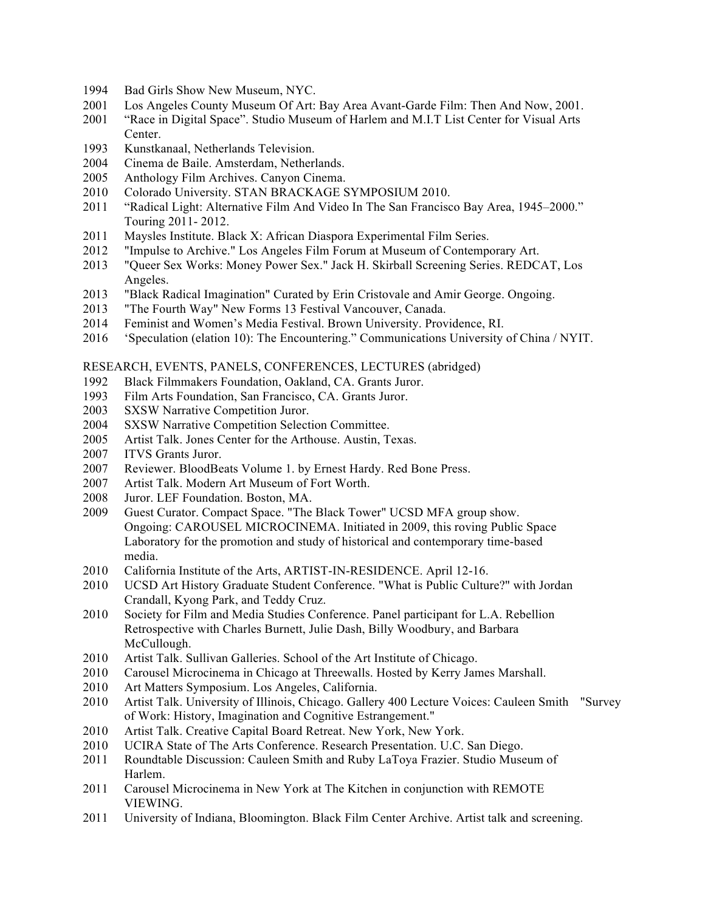- Bad Girls Show New Museum, NYC.
- Los Angeles County Museum Of Art: Bay Area Avant-Garde Film: Then And Now, 2001.
- "Race in Digital Space". Studio Museum of Harlem and M.I.T List Center for Visual Arts Center.
- Kunstkanaal, Netherlands Television.
- Cinema de Baile. Amsterdam, Netherlands.
- Anthology Film Archives. Canyon Cinema.
- Colorado University. STAN BRACKAGE SYMPOSIUM 2010.
- "Radical Light: Alternative Film And Video In The San Francisco Bay Area, 1945–2000." Touring 2011- 2012.
- Maysles Institute. Black X: African Diaspora Experimental Film Series.
- "Impulse to Archive." Los Angeles Film Forum at Museum of Contemporary Art.
- "Queer Sex Works: Money Power Sex." Jack H. Skirball Screening Series. REDCAT, Los Angeles.
- "Black Radical Imagination" Curated by Erin Cristovale and Amir George. Ongoing.
- "The Fourth Way" New Forms 13 Festival Vancouver, Canada.
- Feminist and Women's Media Festival. Brown University. Providence, RI.
- 'Speculation (elation 10): The Encountering." Communications University of China / NYIT.

### RESEARCH, EVENTS, PANELS, CONFERENCES, LECTURES (abridged)

- Black Filmmakers Foundation, Oakland, CA. Grants Juror.
- Film Arts Foundation, San Francisco, CA. Grants Juror.
- SXSW Narrative Competition Juror.
- SXSW Narrative Competition Selection Committee.
- Artist Talk. Jones Center for the Arthouse. Austin, Texas.
- ITVS Grants Juror.
- Reviewer. BloodBeats Volume 1. by Ernest Hardy. Red Bone Press.
- Artist Talk. Modern Art Museum of Fort Worth.
- Juror. LEF Foundation. Boston, MA.
- Guest Curator. Compact Space. "The Black Tower" UCSD MFA group show. Ongoing: CAROUSEL MICROCINEMA. Initiated in 2009, this roving Public Space Laboratory for the promotion and study of historical and contemporary time-based media.
- California Institute of the Arts, ARTIST-IN-RESIDENCE. April 12-16.
- UCSD Art History Graduate Student Conference. "What is Public Culture?" with Jordan Crandall, Kyong Park, and Teddy Cruz.
- Society for Film and Media Studies Conference. Panel participant for L.A. Rebellion Retrospective with Charles Burnett, Julie Dash, Billy Woodbury, and Barbara McCullough.
- Artist Talk. Sullivan Galleries. School of the Art Institute of Chicago.
- Carousel Microcinema in Chicago at Threewalls. Hosted by Kerry James Marshall.
- Art Matters Symposium. Los Angeles, California.
- Artist Talk. University of Illinois, Chicago. Gallery 400 Lecture Voices: Cauleen Smith "Survey of Work: History, Imagination and Cognitive Estrangement."
- Artist Talk. Creative Capital Board Retreat. New York, New York.
- UCIRA State of The Arts Conference. Research Presentation. U.C. San Diego.
- Roundtable Discussion: Cauleen Smith and Ruby LaToya Frazier. Studio Museum of Harlem.
- Carousel Microcinema in New York at The Kitchen in conjunction with REMOTE VIEWING.
- University of Indiana, Bloomington. Black Film Center Archive. Artist talk and screening.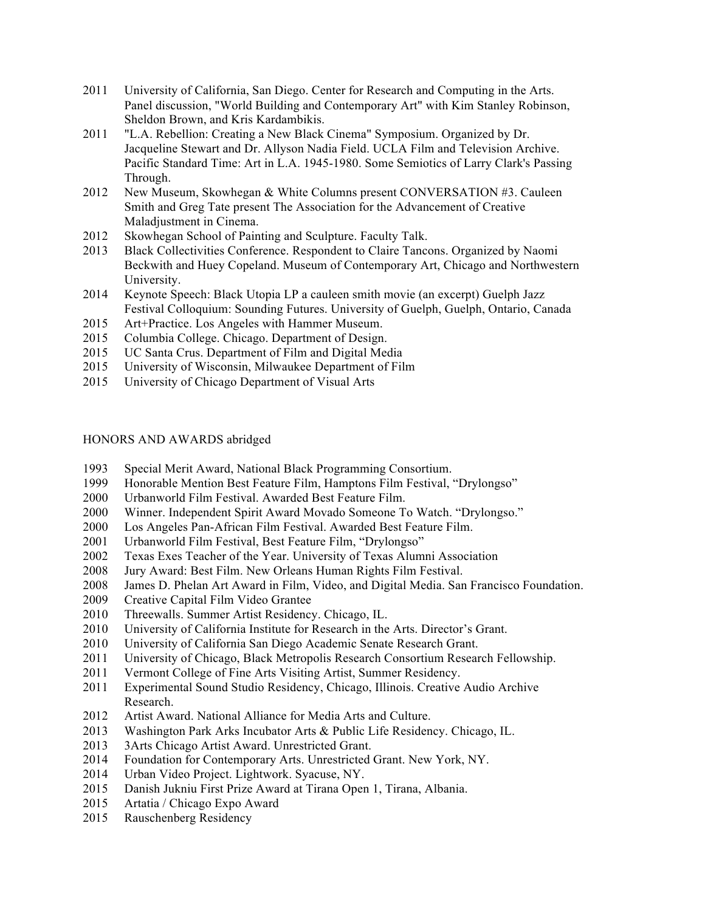- University of California, San Diego. Center for Research and Computing in the Arts. Panel discussion, "World Building and Contemporary Art" with Kim Stanley Robinson, Sheldon Brown, and Kris Kardambikis.
- "L.A. Rebellion: Creating a New Black Cinema" Symposium. Organized by Dr. Jacqueline Stewart and Dr. Allyson Nadia Field. UCLA Film and Television Archive. Pacific Standard Time: Art in L.A. 1945-1980. Some Semiotics of Larry Clark's Passing Through.
- 2012 New Museum, Skowhegan & White Columns present CONVERSATION #3. Cauleen Smith and Greg Tate present The Association for the Advancement of Creative Maladjustment in Cinema.
- Skowhegan School of Painting and Sculpture. Faculty Talk.
- Black Collectivities Conference. Respondent to Claire Tancons. Organized by Naomi Beckwith and Huey Copeland. Museum of Contemporary Art, Chicago and Northwestern University.
- Keynote Speech: Black Utopia LP a cauleen smith movie (an excerpt) Guelph Jazz Festival Colloquium: Sounding Futures. University of Guelph, Guelph, Ontario, Canada
- Art+Practice. Los Angeles with Hammer Museum.
- Columbia College. Chicago. Department of Design.
- UC Santa Crus. Department of Film and Digital Media
- University of Wisconsin, Milwaukee Department of Film
- University of Chicago Department of Visual Arts

## HONORS AND AWARDS abridged

- Special Merit Award, National Black Programming Consortium.
- Honorable Mention Best Feature Film, Hamptons Film Festival, "Drylongso"
- Urbanworld Film Festival. Awarded Best Feature Film.
- Winner. Independent Spirit Award Movado Someone To Watch. "Drylongso."
- Los Angeles Pan-African Film Festival. Awarded Best Feature Film.
- Urbanworld Film Festival, Best Feature Film, "Drylongso"
- Texas Exes Teacher of the Year. University of Texas Alumni Association
- Jury Award: Best Film. New Orleans Human Rights Film Festival.
- James D. Phelan Art Award in Film, Video, and Digital Media. San Francisco Foundation.
- Creative Capital Film Video Grantee
- Threewalls. Summer Artist Residency. Chicago, IL.
- University of California Institute for Research in the Arts. Director's Grant.
- University of California San Diego Academic Senate Research Grant.
- University of Chicago, Black Metropolis Research Consortium Research Fellowship.
- Vermont College of Fine Arts Visiting Artist, Summer Residency.
- Experimental Sound Studio Residency, Chicago, Illinois. Creative Audio Archive Research.
- Artist Award. National Alliance for Media Arts and Culture.
- Washington Park Arks Incubator Arts & Public Life Residency. Chicago, IL.
- 3Arts Chicago Artist Award. Unrestricted Grant.
- Foundation for Contemporary Arts. Unrestricted Grant. New York, NY.
- Urban Video Project. Lightwork. Syacuse, NY.
- Danish Jukniu First Prize Award at Tirana Open 1, Tirana, Albania.
- 2015 Artatia / Chicago Expo Award
- Rauschenberg Residency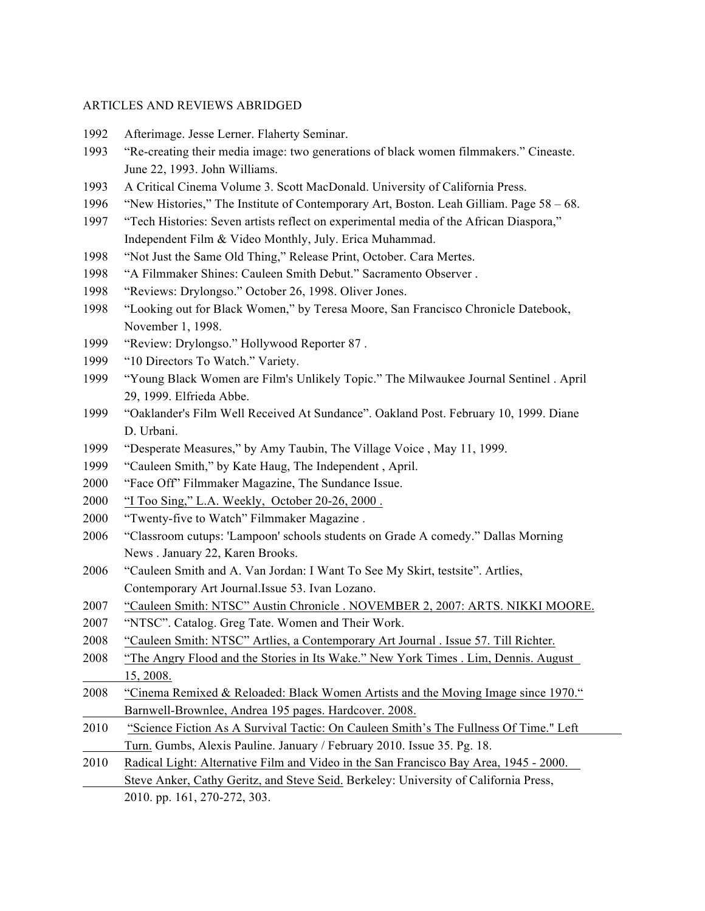### ARTICLES AND REVIEWS ABRIDGED

- Afterimage. Jesse Lerner. Flaherty Seminar.
- "Re-creating their media image: two generations of black women filmmakers." Cineaste. June 22, 1993. John Williams.
- A Critical Cinema Volume 3. Scott MacDonald. University of California Press.
- "New Histories," The Institute of Contemporary Art, Boston. Leah Gilliam. Page 58 68.
- "Tech Histories: Seven artists reflect on experimental media of the African Diaspora," Independent Film & Video Monthly, July. Erica Muhammad.
- "Not Just the Same Old Thing," Release Print, October. Cara Mertes.
- "A Filmmaker Shines: Cauleen Smith Debut." Sacramento Observer .
- "Reviews: Drylongso." October 26, 1998. Oliver Jones.
- "Looking out for Black Women," by Teresa Moore, San Francisco Chronicle Datebook, November 1, 1998.
- "Review: Drylongso." Hollywood Reporter 87 .
- "10 Directors To Watch." Variety.
- "Young Black Women are Film's Unlikely Topic." The Milwaukee Journal Sentinel . April 29, 1999. Elfrieda Abbe.
- "Oaklander's Film Well Received At Sundance". Oakland Post. February 10, 1999. Diane D. Urbani.
- "Desperate Measures," by Amy Taubin, The Village Voice , May 11, 1999.
- "Cauleen Smith," by Kate Haug, The Independent , April.
- "Face Off" Filmmaker Magazine, The Sundance Issue.
- "I Too Sing," L.A. Weekly, October 20-26, 2000 .
- "Twenty-five to Watch" Filmmaker Magazine .
- "Classroom cutups: 'Lampoon' schools students on Grade A comedy." Dallas Morning News . January 22, Karen Brooks.
- "Cauleen Smith and A. Van Jordan: I Want To See My Skirt, testsite". Artlies, Contemporary Art Journal.Issue 53. Ivan Lozano.
- "Cauleen Smith: NTSC" Austin Chronicle . NOVEMBER 2, 2007: ARTS. NIKKI MOORE.
- "NTSC". Catalog. Greg Tate. Women and Their Work.
- "Cauleen Smith: NTSC" Artlies, a Contemporary Art Journal . Issue 57. Till Richter.
- "The Angry Flood and the Stories in Its Wake." New York Times . Lim, Dennis. August 15, 2008.
- "Cinema Remixed & Reloaded: Black Women Artists and the Moving Image since 1970." Barnwell-Brownlee, Andrea 195 pages. Hardcover. 2008.
- "Science Fiction As A Survival Tactic: On Cauleen Smith's The Fullness Of Time." Left Turn. Gumbs, Alexis Pauline. January / February 2010. Issue 35. Pg. 18.
- Radical Light: Alternative Film and Video in the San Francisco Bay Area, 1945 2000.
	- Steve Anker, Cathy Geritz, and Steve Seid. Berkeley: University of California Press, 2010. pp. 161, 270-272, 303.